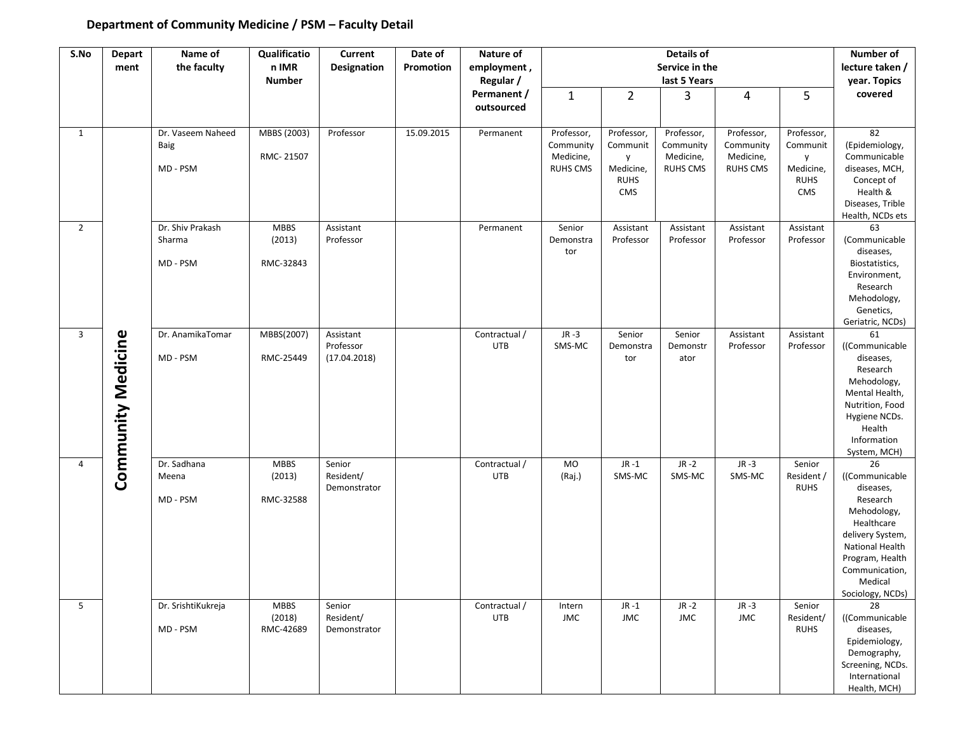## **Department of Community Medicine / PSM – Faculty Detail**

| S.No           | <b>Depart</b>      | Name of                    | Qualificatio          | Current                | Date of    | Nature of            | Details of              |                        |                         |                         |                        | <b>Number of</b>                   |  |
|----------------|--------------------|----------------------------|-----------------------|------------------------|------------|----------------------|-------------------------|------------------------|-------------------------|-------------------------|------------------------|------------------------------------|--|
|                | ment               | the faculty                | n IMR                 | <b>Designation</b>     | Promotion  | employment,          | Service in the          |                        |                         |                         | lecture taken /        |                                    |  |
|                |                    |                            | <b>Number</b>         |                        |            | Regular /            | last 5 Years            |                        |                         |                         | year. Topics           |                                    |  |
|                |                    |                            |                       |                        |            | Permanent /          | $\mathbf{1}$            | $\overline{2}$         | 3                       | 4                       | 5                      | covered                            |  |
|                |                    |                            |                       |                        |            | outsourced           |                         |                        |                         |                         |                        |                                    |  |
|                |                    |                            |                       |                        |            |                      |                         |                        |                         |                         |                        |                                    |  |
| 1              |                    | Dr. Vaseem Naheed          | MBBS (2003)           | Professor              | 15.09.2015 | Permanent            | Professor,<br>Community | Professor,<br>Communit | Professor,<br>Community | Professor,<br>Community | Professor,<br>Communit | 82<br>(Epidemiology,               |  |
|                |                    | Baig                       | RMC-21507             |                        |            |                      | Medicine,               | y                      | Medicine,               | Medicine,               | y                      | Communicable                       |  |
|                |                    | MD - PSM                   |                       |                        |            |                      | <b>RUHS CMS</b>         | Medicine,              | <b>RUHS CMS</b>         | <b>RUHS CMS</b>         | Medicine,              | diseases, MCH,                     |  |
|                |                    |                            |                       |                        |            |                      |                         | <b>RUHS</b>            |                         |                         | <b>RUHS</b>            | Concept of                         |  |
|                |                    |                            |                       |                        |            |                      |                         | CMS                    |                         |                         | CMS                    | Health &                           |  |
|                |                    |                            |                       |                        |            |                      |                         |                        |                         |                         |                        | Diseases, Trible                   |  |
|                |                    |                            |                       |                        |            |                      |                         |                        |                         |                         |                        | Health, NCDs ets                   |  |
| $\overline{2}$ |                    | Dr. Shiv Prakash<br>Sharma | <b>MBBS</b><br>(2013) | Assistant<br>Professor |            | Permanent            | Senior<br>Demonstra     | Assistant<br>Professor | Assistant<br>Professor  | Assistant<br>Professor  | Assistant<br>Professor | 63<br>(Communicable                |  |
|                |                    |                            |                       |                        |            |                      | tor                     |                        |                         |                         |                        | diseases,                          |  |
|                |                    | MD - PSM                   | RMC-32843             |                        |            |                      |                         |                        |                         |                         |                        | Biostatistics,                     |  |
|                |                    |                            |                       |                        |            |                      |                         |                        |                         |                         |                        | Environment,                       |  |
|                |                    |                            |                       |                        |            |                      |                         |                        |                         |                         |                        | Research                           |  |
|                |                    |                            |                       |                        |            |                      |                         |                        |                         |                         |                        | Mehodology,                        |  |
|                |                    |                            |                       |                        |            |                      |                         |                        |                         |                         |                        | Genetics,                          |  |
|                |                    |                            |                       |                        |            |                      |                         |                        |                         |                         |                        | Geriatric, NCDs)                   |  |
| $\overline{3}$ |                    | Dr. AnamikaTomar           | MBBS(2007)            | Assistant<br>Professor |            | Contractual /<br>UTB | $JR -3$<br>SMS-MC       | Senior<br>Demonstra    | Senior<br>Demonstr      | Assistant<br>Professor  | Assistant<br>Professor | 61<br>((Communicable               |  |
|                |                    | MD - PSM                   | RMC-25449             | (17.04.2018)           |            |                      |                         | tor                    | ator                    |                         |                        | diseases,                          |  |
|                |                    |                            |                       |                        |            |                      |                         |                        |                         |                         |                        | Research                           |  |
|                |                    |                            |                       |                        |            |                      |                         |                        |                         |                         |                        | Mehodology,                        |  |
|                |                    |                            |                       |                        |            |                      |                         |                        |                         |                         |                        | Mental Health,                     |  |
|                |                    |                            |                       |                        |            |                      |                         |                        |                         |                         |                        | Nutrition, Food                    |  |
|                |                    |                            |                       |                        |            |                      |                         |                        |                         |                         |                        | Hygiene NCDs.                      |  |
|                |                    |                            |                       |                        |            |                      |                         |                        |                         |                         |                        | Health                             |  |
|                |                    |                            |                       |                        |            |                      |                         |                        |                         |                         |                        | Information<br>System, MCH)        |  |
| 4              | Community Medicine | Dr. Sadhana                | <b>MBBS</b>           | Senior                 |            | Contractual /        | <b>MO</b>               | $JR -1$                | $JR -2$                 | $JR -3$                 | Senior                 | 26                                 |  |
|                |                    | Meena                      | (2013)                | Resident/              |            | UTB                  | (Raj.)                  | SMS-MC                 | SMS-MC                  | SMS-MC                  | Resident               | ((Communicable                     |  |
|                |                    |                            |                       | Demonstrator           |            |                      |                         |                        |                         |                         | <b>RUHS</b>            | diseases,                          |  |
|                |                    | MD - PSM                   | RMC-32588             |                        |            |                      |                         |                        |                         |                         |                        | Research                           |  |
|                |                    |                            |                       |                        |            |                      |                         |                        |                         |                         |                        | Mehodology,                        |  |
|                |                    |                            |                       |                        |            |                      |                         |                        |                         |                         |                        | Healthcare                         |  |
|                |                    |                            |                       |                        |            |                      |                         |                        |                         |                         |                        | delivery System,                   |  |
|                |                    |                            |                       |                        |            |                      |                         |                        |                         |                         |                        | National Health<br>Program, Health |  |
|                |                    |                            |                       |                        |            |                      |                         |                        |                         |                         |                        | Communication,                     |  |
|                |                    |                            |                       |                        |            |                      |                         |                        |                         |                         |                        | Medical                            |  |
|                |                    |                            |                       |                        |            |                      |                         |                        |                         |                         |                        | Sociology, NCDs)                   |  |
| 5              |                    | Dr. SrishtiKukreja         | <b>MBBS</b>           | Senior                 |            | Contractual /        | Intern                  | $JR -1$                | $JR -2$                 | $JR -3$                 | Senior                 | 28                                 |  |
|                |                    |                            | (2018)                | Resident/              |            | UTB                  | <b>JMC</b>              | JMC                    | JMC                     | JMC                     | Resident/              | ((Communicable                     |  |
|                |                    | MD - PSM                   | RMC-42689             | Demonstrator           |            |                      |                         |                        |                         |                         | <b>RUHS</b>            | diseases,                          |  |
|                |                    |                            |                       |                        |            |                      |                         |                        |                         |                         |                        | Epidemiology,                      |  |
|                |                    |                            |                       |                        |            |                      |                         |                        |                         |                         |                        | Demography,                        |  |
|                |                    |                            |                       |                        |            |                      |                         |                        |                         |                         |                        | Screening, NCDs.<br>International  |  |
|                |                    |                            |                       |                        |            |                      |                         |                        |                         |                         |                        | Health, MCH)                       |  |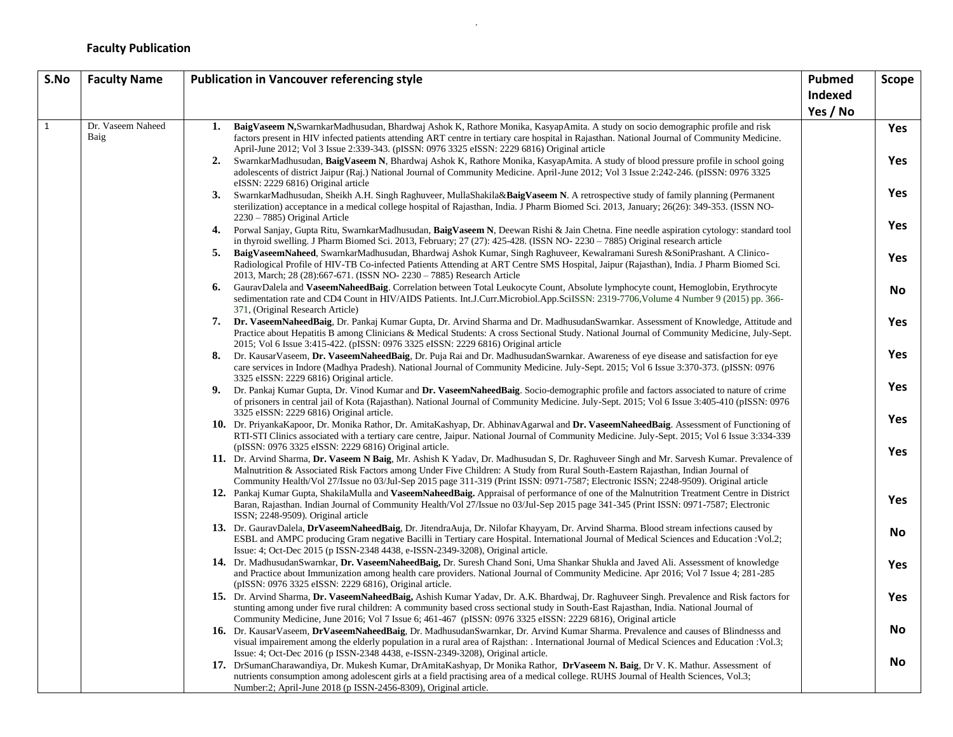## **Faculty Publication**

| S.No         | <b>Faculty Name</b>       | <b>Publication in Vancouver referencing style</b><br>Pubmed                                                                                                                                                                                                                                                                                                                                                        |          |                          |  |
|--------------|---------------------------|--------------------------------------------------------------------------------------------------------------------------------------------------------------------------------------------------------------------------------------------------------------------------------------------------------------------------------------------------------------------------------------------------------------------|----------|--------------------------|--|
|              |                           |                                                                                                                                                                                                                                                                                                                                                                                                                    | Indexed  |                          |  |
|              |                           |                                                                                                                                                                                                                                                                                                                                                                                                                    | Yes / No |                          |  |
| $\mathbf{1}$ | Dr. Vaseem Naheed<br>Baig | 1.<br>BaigVaseem N,SwarnkarMadhusudan, Bhardwaj Ashok K, Rathore Monika, KasyapAmita. A study on socio demographic profile and risk<br>factors present in HIV infected patients attending ART centre in tertiary care hospital in Rajasthan. National Journal of Community Medicine.<br>April-June 2012; Vol 3 Issue 2:339-343. (pISSN: 0976 3325 eISSN: 2229 6816) Original article                               |          | <b>Yes</b><br><b>Yes</b> |  |
|              |                           | 2.<br>SwarnkarMadhusudan, BaigVaseem N, Bhardwaj Ashok K, Rathore Monika, KasyapAmita. A study of blood pressure profile in school going<br>adolescents of district Jaipur (Raj.) National Journal of Community Medicine. April-June 2012; Vol 3 Issue 2:242-246. (pISSN: 0976 3325<br>eISSN: 2229 6816) Original article                                                                                          |          |                          |  |
|              |                           | 3.<br>SwarnkarMadhusudan, Sheikh A.H. Singh Raghuveer, MullaShakila&BaigVaseem N. A retrospective study of family planning (Permanent<br>sterilization) acceptance in a medical college hospital of Rajasthan, India. J Pharm Biomed Sci. 2013, January; 26(26): 349-353. (ISSN NO-<br>$2230 - 7885$ ) Original Article                                                                                            |          | Yes                      |  |
|              |                           | 4.<br>Porwal Sanjay, Gupta Ritu, SwarnkarMadhusudan, BaigVaseem N, Deewan Rishi & Jain Chetna. Fine needle aspiration cytology: standard tool<br>in thyroid swelling. J Pharm Biomed Sci. 2013, February; 27 (27): 425-428. (ISSN NO-2230 - 7885) Original research article                                                                                                                                        |          | <b>Yes</b>               |  |
|              |                           | 5.<br>BaigVaseemNaheed, SwarnkarMadhusudan, Bhardwaj Ashok Kumar, Singh Raghuveer, Kewalramani Suresh &SoniPrashant. A Clinico-<br>Radiological Profile of HIV-TB Co-infected Patients Attending at ART Centre SMS Hospital, Jaipur (Rajasthan), India. J Pharm Biomed Sci.<br>2013, March; 28 (28):667-671. (ISSN NO-2230 - 7885) Research Article                                                                |          | <b>Yes</b>               |  |
|              |                           | GauravDalela and VaseemNaheedBaig. Correlation between Total Leukocyte Count, Absolute lymphocyte count, Hemoglobin, Erythrocyte<br>6.<br>sedimentation rate and CD4 Count in HIV/AIDS Patients. Int.J.Curr.Microbiol.App.SciISSN: 2319-7706, Volume 4 Number 9 (2015) pp. 366-<br>371, (Original Research Article)                                                                                                |          | <b>No</b>                |  |
|              |                           | 7.<br>Dr. VaseemNaheedBaig, Dr. Pankaj Kumar Gupta, Dr. Arvind Sharma and Dr. MadhusudanSwarnkar. Assessment of Knowledge, Attitude and<br>Practice about Hepatitis B among Clinicians & Medical Students: A cross Sectional Study. National Journal of Community Medicine, July-Sept.<br>2015; Vol 6 Issue 3:415-422. (pISSN: 0976 3325 eISSN: 2229 6816) Original article                                        |          | <b>Yes</b>               |  |
|              |                           | Dr. KausarVaseem, Dr. VaseemNaheedBaig, Dr. Puja Rai and Dr. MadhusudanSwarnkar. Awareness of eye disease and satisfaction for eye<br>8.<br>care services in Indore (Madhya Pradesh). National Journal of Community Medicine. July-Sept. 2015; Vol 6 Issue 3:370-373. (pISSN: 0976<br>3325 eISSN: 2229 6816) Original article.                                                                                     |          | <b>Yes</b>               |  |
|              |                           | Dr. Pankaj Kumar Gupta, Dr. Vinod Kumar and Dr. VaseemNaheedBaig. Socio-demographic profile and factors associated to nature of crime<br>9.<br>of prisoners in central jail of Kota (Rajasthan). National Journal of Community Medicine. July-Sept. 2015; Vol 6 Issue 3:405-410 (pISSN: 0976)<br>3325 eISSN: 2229 6816) Original article.                                                                          |          | <b>Yes</b>               |  |
|              |                           | 10. Dr. PriyankaKapoor, Dr. Monika Rathor, Dr. AmitaKashyap, Dr. AbhinavAgarwal and Dr. VaseemNaheedBaig. Assessment of Functioning of<br>RTI-STI Clinics associated with a tertiary care centre, Jaipur. National Journal of Community Medicine. July-Sept. 2015; Vol 6 Issue 3:334-339<br>(pISSN: 0976 3325 eISSN: 2229 6816) Original article.                                                                  |          | <b>Yes</b>               |  |
|              |                           | 11. Dr. Arvind Sharma, Dr. Vaseem N Baig, Mr. Ashish K Yadav, Dr. Madhusudan S, Dr. Raghuveer Singh and Mr. Sarvesh Kumar. Prevalence of<br>Malnutrition & Associated Risk Factors among Under Five Children: A Study from Rural South-Eastern Rajasthan, Indian Journal of<br>Community Health/Vol 27/Issue no 03/Jul-Sep 2015 page 311-319 (Print ISSN: 0971-7587; Electronic ISSN; 2248-9509). Original article |          | <b>Yes</b>               |  |
|              |                           | 12. Pankaj Kumar Gupta, ShakilaMulla and VaseemNaheedBaig. Appraisal of performance of one of the Malnutrition Treatment Centre in District<br>Baran, Rajasthan. Indian Journal of Community Health/Vol 27/Issue no 03/Jul-Sep 2015 page 341-345 (Print ISSN: 0971-7587; Electronic<br>ISSN; 2248-9509). Original article                                                                                          |          | Yes                      |  |
|              |                           | 13. Dr. GauravDalela, DrVaseemNaheedBaig, Dr. JitendraAuja, Dr. Nilofar Khayyam, Dr. Arvind Sharma. Blood stream infections caused by<br>ESBL and AMPC producing Gram negative Bacilli in Tertiary care Hospital. International Journal of Medical Sciences and Education : Vol.2;<br>Issue: 4; Oct-Dec 2015 (p ISSN-2348 4438, e-ISSN-2349-3208), Original article.                                               |          | <b>No</b>                |  |
|              |                           | 14. Dr. MadhusudanSwarnkar, Dr. VaseemNaheedBaig, Dr. Suresh Chand Soni, Uma Shankar Shukla and Javed Ali. Assessment of knowledge<br>and Practice about Immunization among health care providers. National Journal of Community Medicine. Apr 2016; Vol 7 Issue 4; 281-285<br>(pISSN: 0976 3325 eISSN: 2229 6816), Original article.                                                                              |          | <b>Yes</b>               |  |
|              |                           | 15. Dr. Arvind Sharma, Dr. VaseemNaheedBaig, Ashish Kumar Yadav, Dr. A.K. Bhardwaj, Dr. Raghuveer Singh. Prevalence and Risk factors for<br>stunting among under five rural children: A community based cross sectional study in South-East Rajasthan, India. National Journal of<br>Community Medicine, June 2016; Vol 7 Issue 6; 461-467 (pISSN: 0976 3325 eISSN: 2229 6816), Original article                   |          | <b>Yes</b>               |  |
|              |                           | 16. Dr. KausarVaseem, DrVaseemNaheedBaig, Dr. MadhusudanSwarnkar, Dr. Arvind Kumar Sharma. Prevalence and causes of Blindnesss and<br>visual impairement among the elderly population in a rural area of Rajsthan: . International Journal of Medical Sciences and Education : Vol.3;<br>Issue: 4; Oct-Dec 2016 (p ISSN-2348 4438, e-ISSN-2349-3208), Original article.                                            |          | <b>No</b>                |  |
|              |                           | 17. DrSumanCharawandiya, Dr. Mukesh Kumar, DrAmitaKashyap, Dr Monika Rathor, Dr Vaseem N. Baig, Dr V. K. Mathur. Assessment of<br>nutrients consumption among adolescent girls at a field practising area of a medical college. RUHS Journal of Health Sciences, Vol.3;<br>Number:2; April-June 2018 (p ISSN-2456-8309), Original article.                                                                         |          | <b>No</b>                |  |

.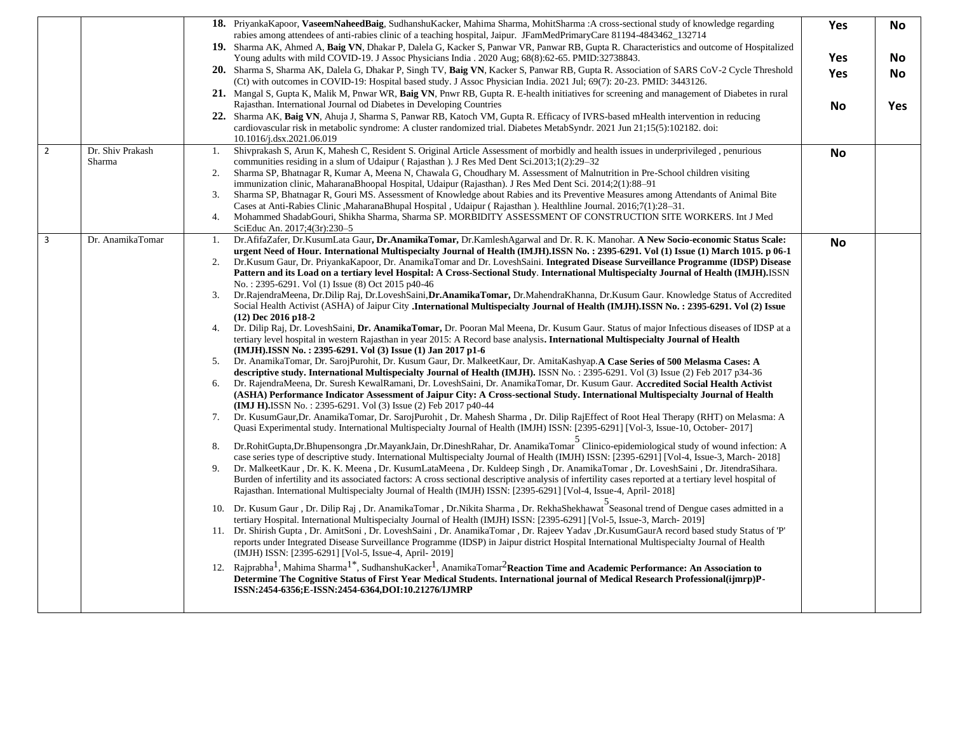|                |                            | <b>18.</b> PriyankaKapoor, VaseemNaheedBaig, SudhanshuKacker, Mahima Sharma, MohitSharma: A cross-sectional study of knowledge regarding<br>rabies among attendees of anti-rabies clinic of a teaching hospital, Jaipur. JFamMedPrimaryCare 81194-4843462_132714                                                                                                                                                                                                                                                                                                                                                                                                                                              | Yes        | No         |
|----------------|----------------------------|---------------------------------------------------------------------------------------------------------------------------------------------------------------------------------------------------------------------------------------------------------------------------------------------------------------------------------------------------------------------------------------------------------------------------------------------------------------------------------------------------------------------------------------------------------------------------------------------------------------------------------------------------------------------------------------------------------------|------------|------------|
|                |                            | 19. Sharma AK, Ahmed A, Baig VN, Dhakar P, Dalela G, Kacker S, Panwar VR, Panwar RB, Gupta R. Characteristics and outcome of Hospitalized<br>Young adults with mild COVID-19. J Assoc Physicians India . 2020 Aug; 68(8):62-65. PMID:32738843.                                                                                                                                                                                                                                                                                                                                                                                                                                                                | <b>Yes</b> | No         |
|                |                            | 20. Sharma S, Sharma AK, Dalela G, Dhakar P, Singh TV, Baig VN, Kacker S, Panwar RB, Gupta R. Association of SARS CoV-2 Cycle Threshold<br>(Ct) with outcomes in COVID-19: Hospital based study. J Assoc Physician India. 2021 Jul; 69(7): 20-23. PMID: 3443126.                                                                                                                                                                                                                                                                                                                                                                                                                                              | Yes        | No         |
|                |                            | 21. Mangal S, Gupta K, Malik M, Pnwar WR, Baig VN, Pnwr RB, Gupta R. E-health initiatives for screening and management of Diabetes in rural<br>Rajasthan. International Journal od Diabetes in Developing Countries                                                                                                                                                                                                                                                                                                                                                                                                                                                                                           | No         | <b>Yes</b> |
|                |                            | 22. Sharma AK, Baig VN, Ahuja J, Sharma S, Panwar RB, Katoch VM, Gupta R. Efficacy of IVRS-based mHealth intervention in reducing<br>cardiovascular risk in metabolic syndrome: A cluster randomized trial. Diabetes MetabSyndr. 2021 Jun 21;15(5):102182. doi:<br>10.1016/j.dsx.2021.06.019                                                                                                                                                                                                                                                                                                                                                                                                                  |            |            |
| $\overline{2}$ | Dr. Shiv Prakash<br>Sharma | Shivprakash S, Arun K, Mahesh C, Resident S. Original Article Assessment of morbidly and health issues in underprivileged, penurious<br>1.<br>communities residing in a slum of Udaipur (Rajasthan). J Res Med Dent Sci.2013;1(2):29–32                                                                                                                                                                                                                                                                                                                                                                                                                                                                       | <b>No</b>  |            |
|                |                            | 2.<br>Sharma SP, Bhatnagar R, Kumar A, Meena N, Chawala G, Choudhary M. Assessment of Malnutrition in Pre-School children visiting<br>immunization clinic, MaharanaBhoopal Hospital, Udaipur (Rajasthan). J Res Med Dent Sci. 2014;2(1):88–91                                                                                                                                                                                                                                                                                                                                                                                                                                                                 |            |            |
|                |                            | Sharma SP, Bhatnagar R, Gouri MS. Assessment of Knowledge about Rabies and its Preventive Measures among Attendants of Animal Bite<br>3.<br>Cases at Anti-Rabies Clinic , Maharana Bhupal Hospital, Udaipur (Rajasthan). Healthline Journal. 2016;7(1):28–31.<br>Mohammed ShadabGouri, Shikha Sharma, Sharma SP. MORBIDITY ASSESSMENT OF CONSTRUCTION SITE WORKERS. Int J Med<br>4.                                                                                                                                                                                                                                                                                                                           |            |            |
|                |                            | SciEduc An. 2017;4(3r):230-5                                                                                                                                                                                                                                                                                                                                                                                                                                                                                                                                                                                                                                                                                  |            |            |
| 3              | Dr. AnamikaTomar           | Dr. AfifaZafer, Dr. KusumLata Gaur, Dr. AnamikaTomar, Dr. KamleshAgarwal and Dr. R. K. Manohar. A New Socio-economic Status Scale:<br>1.<br>urgent Need of Hour. International Multispecialty Journal of Health (IMJH).ISSN No. : 2395-6291. Vol (1) Issue (1) March 1015. p 06-1                                                                                                                                                                                                                                                                                                                                                                                                                             | No         |            |
|                |                            | 2.<br>Dr. Kusum Gaur, Dr. PriyankaKapoor, Dr. AnamikaTomar and Dr. LoveshSaini. Integrated Disease Surveillance Programme (IDSP) Disease                                                                                                                                                                                                                                                                                                                                                                                                                                                                                                                                                                      |            |            |
|                |                            | Pattern and its Load on a tertiary level Hospital: A Cross-Sectional Study. International Multispecialty Journal of Health (IMJH).ISSN                                                                                                                                                                                                                                                                                                                                                                                                                                                                                                                                                                        |            |            |
|                |                            | No.: 2395-6291. Vol (1) Issue (8) Oct 2015 p40-46<br>Dr.RajendraMeena, Dr.Dilip Raj, Dr.LoveshSaini, Dr.AnamikaTomar, Dr.MahendraKhanna, Dr.Kusum Gaur. Knowledge Status of Accredited<br>3.                                                                                                                                                                                                                                                                                                                                                                                                                                                                                                                  |            |            |
|                |                            | Social Health Activist (ASHA) of Jaipur City .International Multispecialty Journal of Health (IMJH).ISSN No.: 2395-6291. Vol (2) Issue<br>$(12)$ Dec 2016 p18-2                                                                                                                                                                                                                                                                                                                                                                                                                                                                                                                                               |            |            |
|                |                            | Dr. Dilip Raj, Dr. LoveshSaini, Dr. AnamikaTomar, Dr. Pooran Mal Meena, Dr. Kusum Gaur. Status of major Infectious diseases of IDSP at a<br>4.<br>tertiary level hospital in western Rajasthan in year 2015: A Record base analysis. International Multispecialty Journal of Health<br>(IMJH).ISSN No.: 2395-6291. Vol (3) Issue (1) Jan 2017 p1-6                                                                                                                                                                                                                                                                                                                                                            |            |            |
|                |                            | Dr. AnamikaTomar, Dr. SarojPurohit, Dr. Kusum Gaur, Dr. MalkeetKaur, Dr. AmitaKashyap.A Case Series of 500 Melasma Cases: A<br>5.                                                                                                                                                                                                                                                                                                                                                                                                                                                                                                                                                                             |            |            |
|                |                            | descriptive study. International Multispecialty Journal of Health (IMJH). ISSN No.: 2395-6291. Vol (3) Issue (2) Feb 2017 p34-36<br>Dr. RajendraMeena, Dr. Suresh KewalRamani, Dr. LoveshSaini, Dr. AnamikaTomar, Dr. Kusum Gaur. Accredited Social Health Activist<br>6.<br>(ASHA) Performance Indicator Assessment of Jaipur City: A Cross-sectional Study. International Multispecialty Journal of Health<br>(IMJ H), ISSN No.: 2395-6291. Vol (3) Issue (2) Feb 2017 p40-44                                                                                                                                                                                                                               |            |            |
|                |                            | 7.<br>Dr. KusumGaur, Dr. AnamikaTomar, Dr. SarojPurohit, Dr. Mahesh Sharma, Dr. Dilip RajEffect of Root Heal Therapy (RHT) on Melasma: A<br>Quasi Experimental study. International Multispecialty Journal of Health (IMJH) ISSN: [2395-6291] [Vol-3, Issue-10, October-2017]                                                                                                                                                                                                                                                                                                                                                                                                                                 |            |            |
|                |                            | Dr.RohitGupta,Dr.Bhupensongra ,Dr.MayankJain, Dr.DineshRahar, Dr. AnamikaTomar Clinico-epidemiological study of wound infection: A<br>8.<br>case series type of descriptive study. International Multispecialty Journal of Health (IMJH) ISSN: [2395-6291] [Vol-4, Issue-3, March-2018]<br>Dr. MalkeetKaur, Dr. K. K. Meena, Dr. KusumLataMeena, Dr. Kuldeep Singh, Dr. AnamikaTomar, Dr. LoveshSaini, Dr. JitendraSihara.<br>9.<br>Burden of infertility and its associated factors: A cross sectional descriptive analysis of infertility cases reported at a tertiary level hospital of<br>Rajasthan. International Multispecialty Journal of Health (IMJH) ISSN: [2395-6291] [Vol-4, Issue-4, April-2018] |            |            |
|                |                            | Dr. Kusum Gaur, Dr. Dilip Raj, Dr. AnamikaTomar, Dr. Nikita Sharma, Dr. RekhaShekhawat Seasonal trend of Dengue cases admitted in a<br>10.<br>tertiary Hospital. International Multispecialty Journal of Health (IMJH) ISSN: [2395-6291] [Vol-5, Issue-3, March-2019]<br>11. Dr. Shirish Gupta, Dr. AmitSoni, Dr. LoveshSaini, Dr. AnamikaTomar, Dr. Rajeev Yadav, Dr. KusumGaurA record based study Status of 'P'                                                                                                                                                                                                                                                                                            |            |            |
|                |                            | reports under Integrated Disease Surveillance Programme (IDSP) in Jaipur district Hospital International Multispecialty Journal of Health<br>(IMJH) ISSN: [2395-6291] [Vol-5, Issue-4, April-2019]                                                                                                                                                                                                                                                                                                                                                                                                                                                                                                            |            |            |
|                |                            | Rajprabha <sup>1</sup> , Mahima Sharma <sup>1*</sup> , SudhanshuKacker <sup>1</sup> , AnamikaTomar <sup>2</sup> Reaction Time and Academic Performance: An Association to<br>12.<br>Determine The Cognitive Status of First Year Medical Students. International journal of Medical Research Professional(ijmrp)P-<br>ISSN:2454-6356;E-ISSN:2454-6364,DOI:10.21276/IJMRP                                                                                                                                                                                                                                                                                                                                      |            |            |
|                |                            |                                                                                                                                                                                                                                                                                                                                                                                                                                                                                                                                                                                                                                                                                                               |            |            |